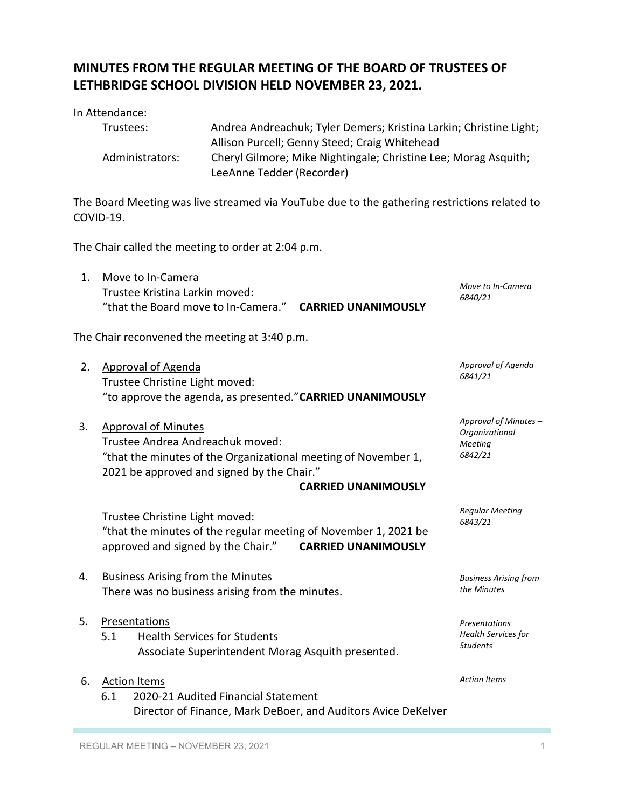## **MINUTES FROM THE REGULAR MEETING OF THE BOARD OF TRUSTEES OF LETHBRIDGE SCHOOL DIVISION HELD NOVEMBER 23, 2021.**

| In Attendance:  |                                                                    |
|-----------------|--------------------------------------------------------------------|
| Trustees:       | Andrea Andreachuk; Tyler Demers; Kristina Larkin; Christine Light; |
|                 | Allison Purcell; Genny Steed; Craig Whitehead                      |
| Administrators: | Cheryl Gilmore; Mike Nightingale; Christine Lee; Morag Asquith;    |
|                 | LeeAnne Tedder (Recorder)                                          |

The Board Meeting was live streamed via YouTube due to the gathering restrictions related to COVID-19.

The Chair called the meeting to order at 2:04 p.m.

| 1. | Move to In-Camera                                               |                            | Move to In-Camera                       |
|----|-----------------------------------------------------------------|----------------------------|-----------------------------------------|
|    | Trustee Kristina Larkin moved:                                  |                            | 6840/21                                 |
|    | "that the Board move to In-Camera." CARRIED UNANIMOUSLY         |                            |                                         |
|    | The Chair reconvened the meeting at 3:40 p.m.                   |                            |                                         |
| 2. | <b>Approval of Agenda</b>                                       |                            | Approval of Agenda<br>6841/21           |
|    | Trustee Christine Light moved:                                  |                            |                                         |
|    | "to approve the agenda, as presented." CARRIED UNANIMOUSLY      |                            |                                         |
| 3. | <b>Approval of Minutes</b><br>Trustee Andrea Andreachuk moved:  |                            | Approval of Minutes -<br>Organizational |
|    | "that the minutes of the Organizational meeting of November 1,  |                            | <b>Meeting</b><br>6842/21               |
|    | 2021 be approved and signed by the Chair."                      | <b>CARRIED UNANIMOUSLY</b> |                                         |
|    |                                                                 |                            | <b>Regular Meeting</b>                  |
|    | Trustee Christine Light moved:                                  |                            | 6843/21                                 |
|    | "that the minutes of the regular meeting of November 1, 2021 be |                            |                                         |
|    | approved and signed by the Chair."                              | <b>CARRIED UNANIMOUSLY</b> |                                         |
| 4. | <b>Business Arising from the Minutes</b>                        |                            | <b>Business Arising from</b>            |
|    | There was no business arising from the minutes.                 |                            | the Minutes                             |
| 5. | Presentations                                                   |                            | Presentations                           |
|    | <b>Health Services for Students</b><br>5.1                      |                            | <b>Health Services for</b>              |
|    | Associate Superintendent Morag Asquith presented.               |                            | <b>Students</b>                         |
| 6. | <b>Action Items</b>                                             |                            | <b>Action Items</b>                     |
|    | 6.1<br>2020-21 Audited Financial Statement                      |                            |                                         |
|    | Director of Finance, Mark DeBoer, and Auditors Avice DeKelver   |                            |                                         |
|    |                                                                 |                            |                                         |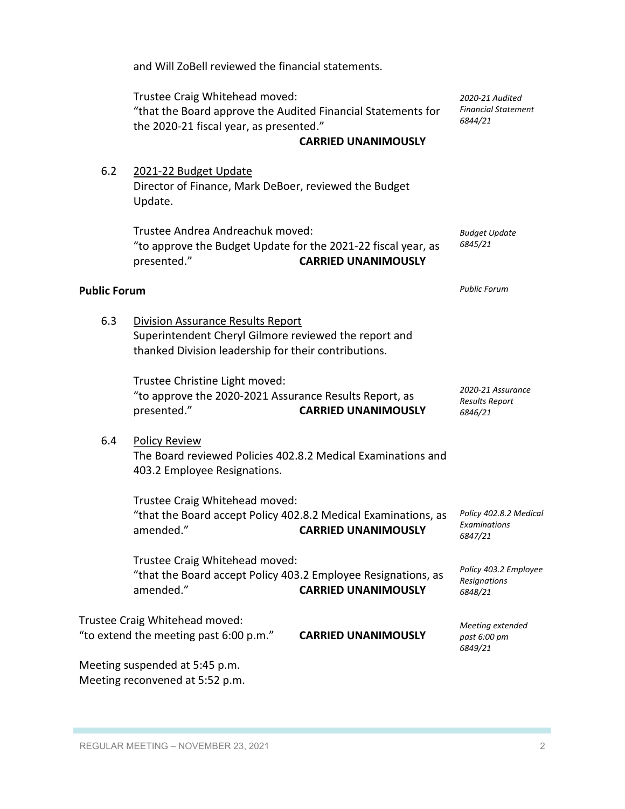|                     | Trustee Craig Whitehead moved:<br>"that the Board approve the Audited Financial Statements for<br>the 2020-21 fiscal year, as presented."                 | <b>CARRIED UNANIMOUSLY</b> | 2020-21 Audited<br><b>Financial Statement</b><br>6844/21 |
|---------------------|-----------------------------------------------------------------------------------------------------------------------------------------------------------|----------------------------|----------------------------------------------------------|
| 6.2                 | 2021-22 Budget Update<br>Director of Finance, Mark DeBoer, reviewed the Budget<br>Update.                                                                 |                            |                                                          |
|                     | Trustee Andrea Andreachuk moved:<br>"to approve the Budget Update for the 2021-22 fiscal year, as<br>presented."                                          | <b>CARRIED UNANIMOUSLY</b> | <b>Budget Update</b><br>6845/21                          |
| <b>Public Forum</b> |                                                                                                                                                           |                            | <b>Public Forum</b>                                      |
| 6.3                 | <b>Division Assurance Results Report</b><br>Superintendent Cheryl Gilmore reviewed the report and<br>thanked Division leadership for their contributions. |                            |                                                          |
|                     | Trustee Christine Light moved:<br>"to approve the 2020-2021 Assurance Results Report, as<br>presented."                                                   | <b>CARRIED UNANIMOUSLY</b> | 2020-21 Assurance<br><b>Results Report</b><br>6846/21    |
| 6.4                 | <b>Policy Review</b><br>The Board reviewed Policies 402.8.2 Medical Examinations and<br>403.2 Employee Resignations.                                      |                            |                                                          |
|                     | Trustee Craig Whitehead moved:<br>"that the Board accept Policy 402.8.2 Medical Examinations, as<br>amended."                                             | <b>CARRIED UNANIMOUSLY</b> | Policy 402.8.2 Medical<br>Examinations<br>6847/21        |
|                     | Trustee Craig Whitehead moved:<br>"that the Board accept Policy 403.2 Employee Resignations, as<br>amended."                                              | <b>CARRIED UNANIMOUSLY</b> | Policy 403.2 Employee<br>Resignations<br>6848/21         |
|                     | Trustee Craig Whitehead moved:<br>"to extend the meeting past 6:00 p.m."                                                                                  | <b>CARRIED UNANIMOUSLY</b> | Meeting extended<br>past 6:00 pm<br>6849/21              |
|                     | Meeting suspended at 5:45 p.m.<br>Meeting reconvened at 5:52 p.m.                                                                                         |                            |                                                          |

and Will ZoBell reviewed the financial statements.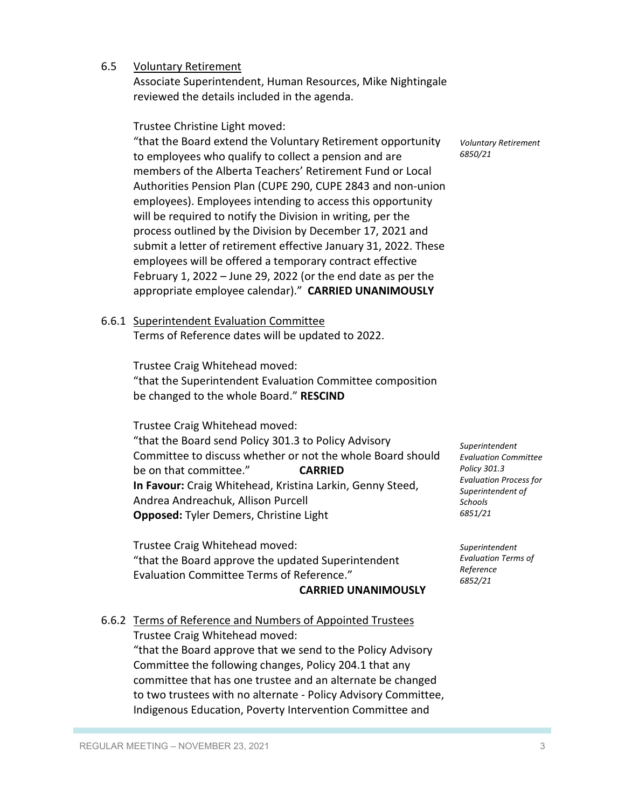6.5 Voluntary Retirement

Associate Superintendent, Human Resources, Mike Nightingale reviewed the details included in the agenda.

Trustee Christine Light moved:

"that the Board extend the Voluntary Retirement opportunity to employees who qualify to collect a pension and are members of the Alberta Teachers' Retirement Fund or Local Authorities Pension Plan (CUPE 290, CUPE 2843 and non-union employees). Employees intending to access this opportunity will be required to notify the Division in writing, per the process outlined by the Division by December 17, 2021 and submit a letter of retirement effective January 31, 2022. These employees will be offered a temporary contract effective February 1, 2022 – June 29, 2022 (or the end date as per the appropriate employee calendar)." **CARRIED UNANIMOUSLY**

*Voluntary Retirement 6850/21*

6.6.1 Superintendent Evaluation Committee

Terms of Reference dates will be updated to 2022.

Trustee Craig Whitehead moved:

"that the Superintendent Evaluation Committee composition be changed to the whole Board." **RESCIND**

Trustee Craig Whitehead moved: "that the Board send Policy 301.3 to Policy Advisory Committee to discuss whether or not the whole Board should be on that committee." **CARRIED In Favour:** Craig Whitehead, Kristina Larkin, Genny Steed, Andrea Andreachuk, Allison Purcell **Opposed:** Tyler Demers, Christine Light

Trustee Craig Whitehead moved: "that the Board approve the updated Superintendent Evaluation Committee Terms of Reference."

#### **CARRIED UNANIMOUSLY**

## 6.6.2 Terms of Reference and Numbers of Appointed Trustees

Trustee Craig Whitehead moved: "that the Board approve that we send to the Policy Advisory Committee the following changes, Policy 204.1 that any committee that has one trustee and an alternate be changed to two trustees with no alternate - Policy Advisory Committee, Indigenous Education, Poverty Intervention Committee and

*Superintendent Evaluation Committee Policy 301.3 Evaluation Process for Superintendent of Schools 6851/21*

*Superintendent Evaluation Terms of Reference 6852/21*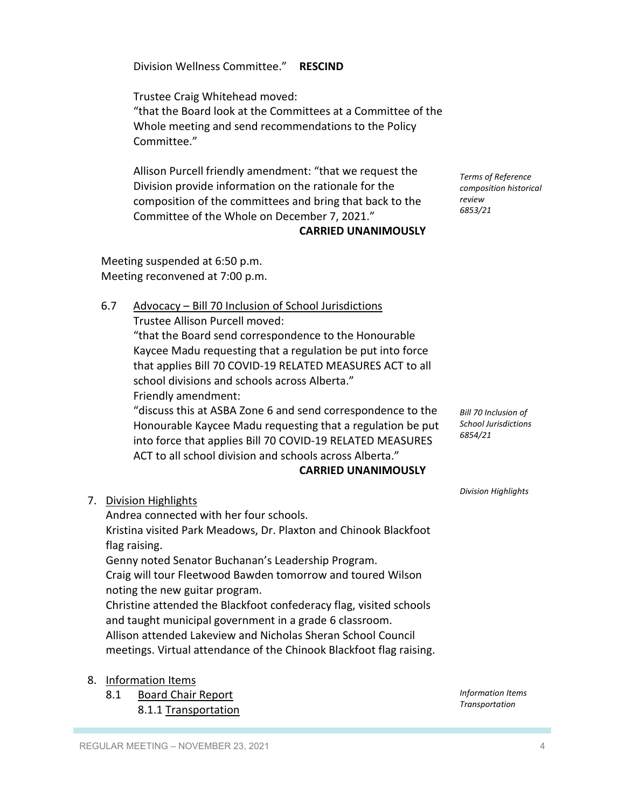REGULAR MEETING – NOVEMBER 23, 2021 and the state of the state of the state of the state of the state of the state of the state of the state of the state of the state of the state of the state of the state of the state of

Division Wellness Committee." **RESCIND**

Trustee Craig Whitehead moved: "that the Board look at the Committees at a Committee of the

Whole meeting and send recommendations to the Policy Committee."

Allison Purcell friendly amendment: "that we request the Division provide information on the rationale for the composition of the committees and bring that back to the Committee of the Whole on December 7, 2021."

### **CARRIED UNANIMOUSLY**

Meeting suspended at 6:50 p.m. Meeting reconvened at 7:00 p.m.

6.7 Advocacy – Bill 70 Inclusion of School Jurisdictions

Trustee Allison Purcell moved:

Andrea connected with her four schools.

"that the Board send correspondence to the Honourable Kaycee Madu requesting that a regulation be put into force that applies Bill 70 COVID-19 RELATED MEASURES ACT to all school divisions and schools across Alberta."

Friendly amendment:

7. Division Highlights

flag raising.

"discuss this at ASBA Zone 6 and send correspondence to the Honourable Kaycee Madu requesting that a regulation be put into force that applies Bill 70 COVID-19 RELATED MEASURES ACT to all school division and schools across Alberta."

### **CARRIED UNANIMOUSLY**

*Bill 70 Inclusion of School Jurisdictions*

*6854/21*

*Division Highlights*

*Terms of Reference composition historical* 

*review 6853/21*

Genny noted Senator Buchanan's Leadership Program. Craig will tour Fleetwood Bawden tomorrow and toured Wilson noting the new guitar program. Christine attended the Blackfoot confederacy flag, visited schools and taught municipal government in a grade 6 classroom. Allison attended Lakeview and Nicholas Sheran School Council meetings. Virtual attendance of the Chinook Blackfoot flag raising.

Kristina visited Park Meadows, Dr. Plaxton and Chinook Blackfoot

# 8. Information Items

8.1.1 Transportation

*Information Items Transportation*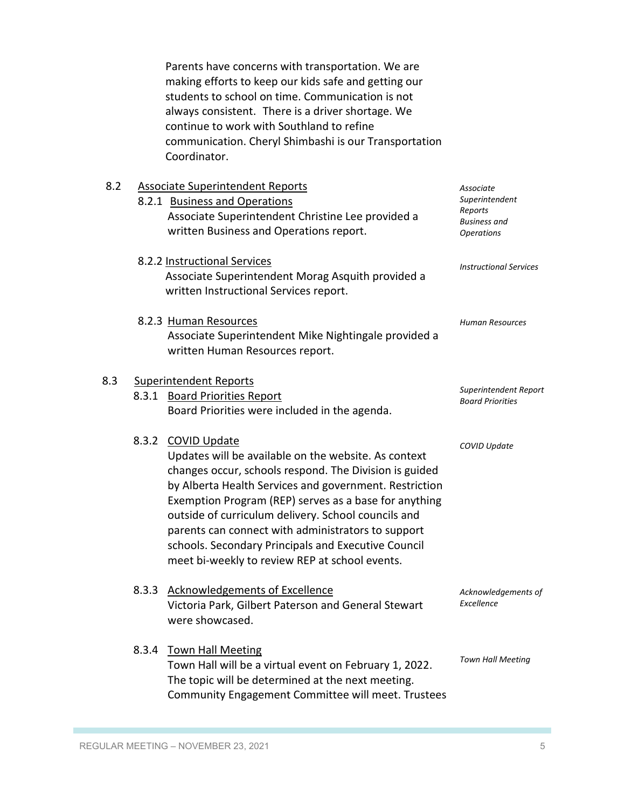Parents have concerns with transportation. We are making efforts to keep our kids safe and getting our students to school on time. Communication is not always consistent. There is a driver shortage. We continue to work with Southland to refine communication. Cheryl Shimbashi is our Transportation Coordinator.

## 8.2 Associate Superintendent Report

| 8.Z |       | <u>Associate Superintendent Reports</u><br>8.2.1 Business and Operations<br>Associate Superintendent Christine Lee provided a<br>written Business and Operations report.                                                                                                                                                                                                                                                                                                       | Associate<br>Superintendent<br>Reports<br>Business and<br><b>Operations</b> |
|-----|-------|--------------------------------------------------------------------------------------------------------------------------------------------------------------------------------------------------------------------------------------------------------------------------------------------------------------------------------------------------------------------------------------------------------------------------------------------------------------------------------|-----------------------------------------------------------------------------|
|     |       | 8.2.2 Instructional Services<br>Associate Superintendent Morag Asquith provided a<br>written Instructional Services report.                                                                                                                                                                                                                                                                                                                                                    | <b>Instructional Services</b>                                               |
|     |       | 8.2.3 Human Resources<br>Associate Superintendent Mike Nightingale provided a<br>written Human Resources report.                                                                                                                                                                                                                                                                                                                                                               | <b>Human Resources</b>                                                      |
| 8.3 |       | <b>Superintendent Reports</b><br>8.3.1 Board Priorities Report<br>Board Priorities were included in the agenda.                                                                                                                                                                                                                                                                                                                                                                | Superintendent Report<br><b>Board Priorities</b>                            |
|     | 8.3.2 | <b>COVID Update</b><br>Updates will be available on the website. As context<br>changes occur, schools respond. The Division is guided<br>by Alberta Health Services and government. Restriction<br>Exemption Program (REP) serves as a base for anything<br>outside of curriculum delivery. School councils and<br>parents can connect with administrators to support<br>schools. Secondary Principals and Executive Council<br>meet bi-weekly to review REP at school events. | COVID Update                                                                |
|     | 8.3.3 | <b>Acknowledgements of Excellence</b><br>Victoria Park, Gilbert Paterson and General Stewart<br>were showcased.                                                                                                                                                                                                                                                                                                                                                                | Acknowledgements of<br>Excellence                                           |
|     | 8.3.4 | <b>Town Hall Meeting</b><br>Town Hall will be a virtual event on February 1, 2022.<br>The topic will be determined at the next meeting.<br>Community Engagement Committee will meet. Trustees                                                                                                                                                                                                                                                                                  | <b>Town Hall Meeting</b>                                                    |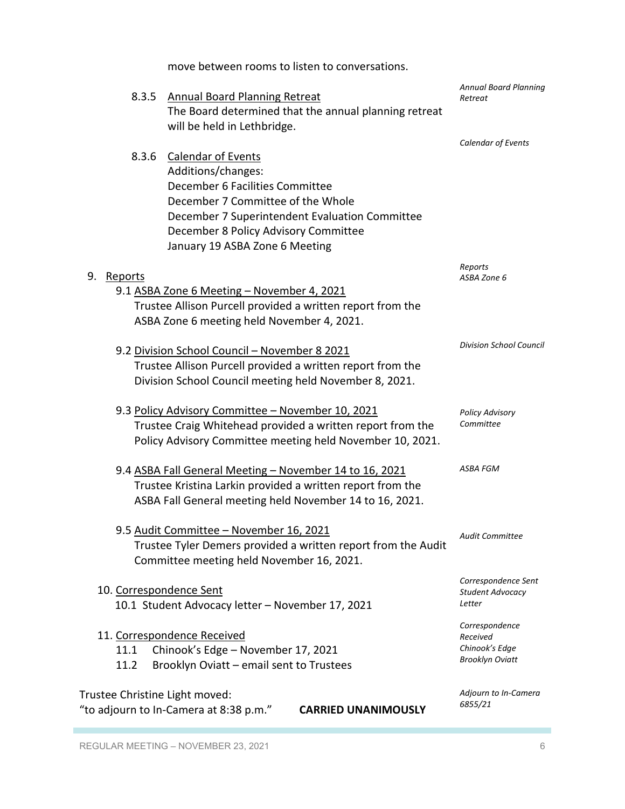move between rooms to listen to conversations.

| 8.3.5                          | <b>Annual Board Planning Retreat</b><br>The Board determined that the annual planning retreat<br>will be held in Lethbridge. | <b>Annual Board Planning</b><br>Retreat |
|--------------------------------|------------------------------------------------------------------------------------------------------------------------------|-----------------------------------------|
|                                |                                                                                                                              | Calendar of Events                      |
| 8.3.6                          | <b>Calendar of Events</b>                                                                                                    |                                         |
|                                | Additions/changes:                                                                                                           |                                         |
|                                |                                                                                                                              |                                         |
|                                | December 6 Facilities Committee                                                                                              |                                         |
|                                | December 7 Committee of the Whole                                                                                            |                                         |
|                                | December 7 Superintendent Evaluation Committee                                                                               |                                         |
|                                | December 8 Policy Advisory Committee                                                                                         |                                         |
|                                | January 19 ASBA Zone 6 Meeting                                                                                               |                                         |
|                                |                                                                                                                              | Reports                                 |
| 9.<br><u>Reports</u>           |                                                                                                                              | ASBA Zone 6                             |
|                                | 9.1 ASBA Zone 6 Meeting - November 4, 2021                                                                                   |                                         |
|                                | Trustee Allison Purcell provided a written report from the                                                                   |                                         |
|                                | ASBA Zone 6 meeting held November 4, 2021.                                                                                   |                                         |
|                                |                                                                                                                              |                                         |
|                                | 9.2 Division School Council - November 8 2021                                                                                | <b>Division School Council</b>          |
|                                |                                                                                                                              |                                         |
|                                | Trustee Allison Purcell provided a written report from the                                                                   |                                         |
|                                | Division School Council meeting held November 8, 2021.                                                                       |                                         |
|                                | 9.3 Policy Advisory Committee - November 10, 2021                                                                            | <b>Policy Advisory</b>                  |
|                                | Trustee Craig Whitehead provided a written report from the                                                                   | Committee                               |
|                                |                                                                                                                              |                                         |
|                                | Policy Advisory Committee meeting held November 10, 2021.                                                                    |                                         |
|                                | 9.4 ASBA Fall General Meeting - November 14 to 16, 2021                                                                      | ASBA FGM                                |
|                                | Trustee Kristina Larkin provided a written report from the                                                                   |                                         |
|                                | ASBA Fall General meeting held November 14 to 16, 2021.                                                                      |                                         |
|                                |                                                                                                                              |                                         |
|                                | 9.5 Audit Committee - November 16, 2021                                                                                      | <b>Audit Committee</b>                  |
|                                | Trustee Tyler Demers provided a written report from the Audit                                                                |                                         |
|                                | Committee meeting held November 16, 2021.                                                                                    |                                         |
|                                |                                                                                                                              |                                         |
| 10. Correspondence Sent        |                                                                                                                              | Correspondence Sent                     |
|                                | 10.1 Student Advocacy letter - November 17, 2021                                                                             | Student Advocacy<br>Letter              |
|                                |                                                                                                                              |                                         |
|                                | 11. Correspondence Received                                                                                                  | Correspondence<br>Received              |
| 11.1                           | Chinook's Edge - November 17, 2021                                                                                           | Chinook's Edge                          |
| 11.2                           |                                                                                                                              | <b>Brooklyn Oviatt</b>                  |
|                                | Brooklyn Oviatt - email sent to Trustees                                                                                     |                                         |
| Trustee Christine Light moved: |                                                                                                                              | Adjourn to In-Camera                    |
|                                | <b>CARRIED UNANIMOUSLY</b>                                                                                                   | 6855/21                                 |
|                                | "to adjourn to In-Camera at 8:38 p.m."                                                                                       |                                         |